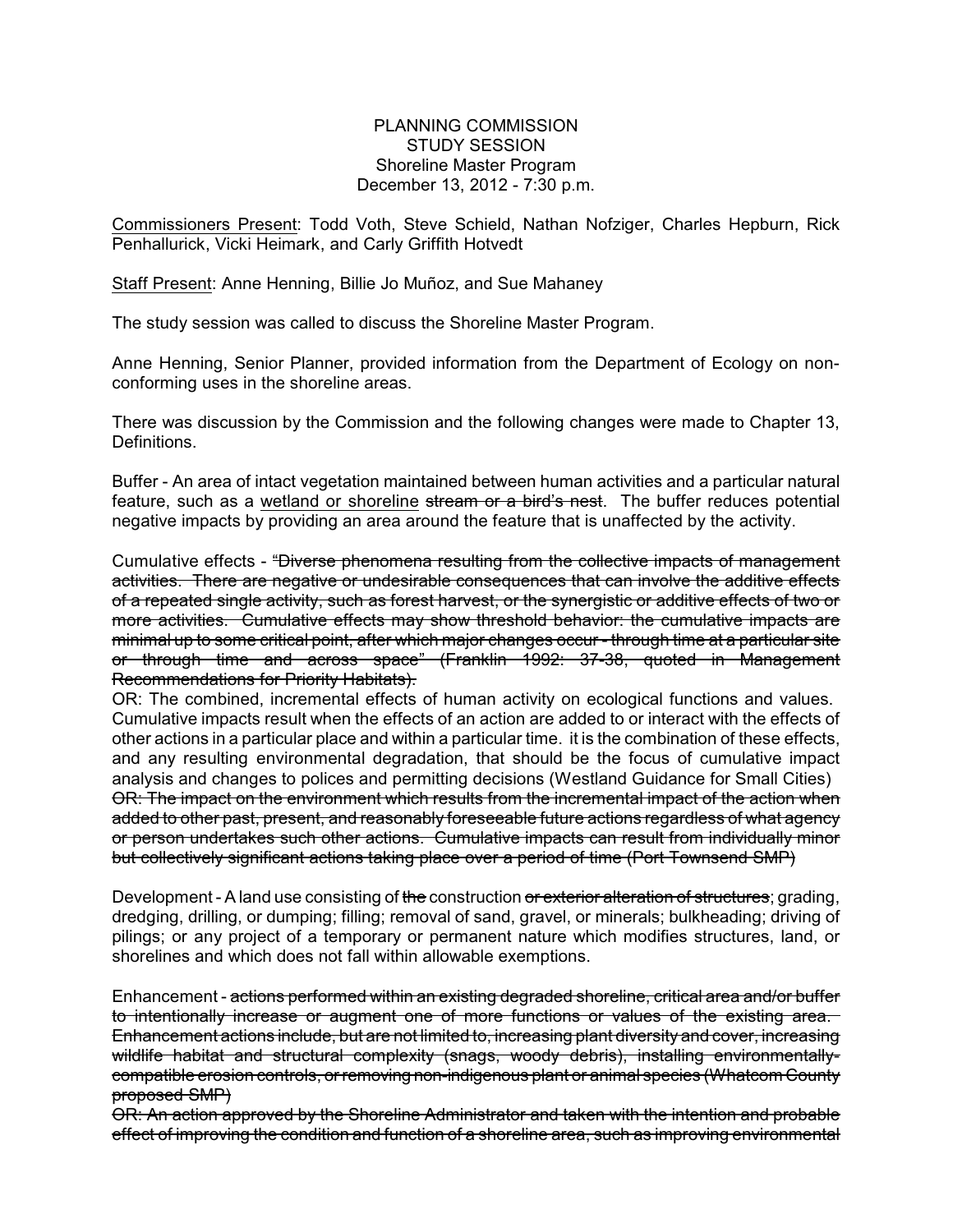PLANNING COMMISSION STUDY SESSION Shoreline Master Program December 13, 2012 - 7:30 p.m.

Commissioners Present: Todd Voth, Steve Schield, Nathan Nofziger, Charles Hepburn, Rick Penhallurick, Vicki Heimark, and Carly Griffith Hotvedt

Staff Present: Anne Henning, Billie Jo Muñoz, and Sue Mahaney

The study session was called to discuss the Shoreline Master Program.

Anne Henning, Senior Planner, provided information from the Department of Ecology on nonconforming uses in the shoreline areas.

There was discussion by the Commission and the following changes were made to Chapter 13, Definitions.

Buffer - An area of intact vegetation maintained between human activities and a particular natural feature, such as a wetland or shoreline stream or a bird's nest. The buffer reduces potential negative impacts by providing an area around the feature that is unaffected by the activity.

Cumulative effects - "Diverse phenomena resulting from the collective impacts of management activities. There are negative or undesirable consequences that can involve the additive effects of a repeated single activity, such as forest harvest, or the synergistic or additive effects of two or more activities. Cumulative effects may show threshold behavior: the cumulative impacts are minimal up to some critical point, after which major changes occur - through time at a particular site or through time and across space" (Franklin 1992: 37-38, quoted in Management Recommendations for Priority Habitats).

OR: The combined, incremental effects of human activity on ecological functions and values. Cumulative impacts result when the effects of an action are added to or interact with the effects of other actions in a particular place and within a particular time. it is the combination of these effects, and any resulting environmental degradation, that should be the focus of cumulative impact analysis and changes to polices and permitting decisions (Westland Guidance for Small Cities) OR: The impact on the environment which results from the incremental impact of the action when added to other past, present, and reasonably foreseeable future actions regardless of what agency or person undertakes such other actions. Cumulative impacts can result from individually minor but collectively significant actions taking place over a period of time (Port Townsend SMP)

Development - A land use consisting of the construction or exterior alteration of structures; grading, dredging, drilling, or dumping; filling; removal of sand, gravel, or minerals; bulkheading; driving of pilings; or any project of a temporary or permanent nature which modifies structures, land, or shorelines and which does not fall within allowable exemptions.

Enhancement - actions performed within an existing degraded shoreline, critical area and/or buffer to intentionally increase or augment one of more functions or values of the existing area. Enhancement actions include, but are not limited to, increasing plant diversity and cover, increasing wildlife habitat and structural complexity (snags, woody debris), installing environmentallycompatible erosion controls, or removing non-indigenous plant or animal species (Whatcom County proposed SMP)

OR: An action approved by the Shoreline Administrator and taken with the intention and probable effect of improving the condition and function of a shoreline area, such as improving environmental